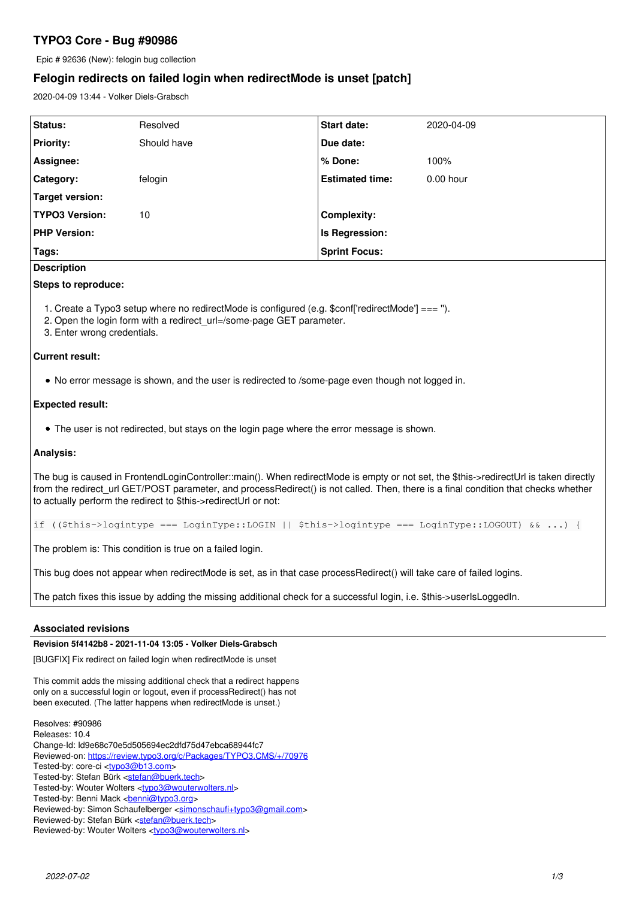# **TYPO3 Core - Bug #90986**

Epic # 92636 (New): felogin bug collection

# **Felogin redirects on failed login when redirectMode is unset [patch]**

2020-04-09 13:44 - Volker Diels-Grabsch

| <b>Status:</b>        | Resolved    | <b>Start date:</b>     | 2020-04-09  |
|-----------------------|-------------|------------------------|-------------|
| <b>Priority:</b>      | Should have | Due date:              |             |
| Assignee:             |             | % Done:                | 100%        |
| Category:             | felogin     | <b>Estimated time:</b> | $0.00$ hour |
| Target version:       |             |                        |             |
| <b>TYPO3 Version:</b> | 10          | <b>Complexity:</b>     |             |
| <b>PHP Version:</b>   |             | Is Regression:         |             |
| Tags:                 |             | <b>Sprint Focus:</b>   |             |

## **Description**

## **Steps to reproduce:**

1. Create a Typo3 setup where no redirectMode is configured (e.g. \$conf['redirectMode'] === '').

2. Open the login form with a redirect\_url=/some-page GET parameter.

3. Enter wrong credentials.

## **Current result:**

No error message is shown, and the user is redirected to /some-page even though not logged in.

## **Expected result:**

• The user is not redirected, but stays on the login page where the error message is shown.

## **Analysis:**

The bug is caused in FrontendLoginController::main(). When redirectMode is empty or not set, the \$this->redirectUrl is taken directly from the redirect url GET/POST parameter, and processRedirect() is not called. Then, there is a final condition that checks whether to actually perform the redirect to \$this->redirectUrl or not:

if ((\$this->logintype === LoginType::LOGIN || \$this->logintype === LoginType::LOGOUT) && ...) {

The problem is: This condition is true on a failed login.

This bug does not appear when redirectMode is set, as in that case processRedirect() will take care of failed logins.

The patch fixes this issue by adding the missing additional check for a successful login, i.e. \$this->userIsLoggedIn.

## **Associated revisions**

## **Revision 5f4142b8 - 2021-11-04 13:05 - Volker Diels-Grabsch**

[BUGFIX] Fix redirect on failed login when redirectMode is unset

This commit adds the missing additional check that a redirect happens only on a successful login or logout, even if processRedirect() has not been executed. (The latter happens when redirectMode is unset.)

Resolves: #90986 Releases: 10.4 Change-Id: Id9e68c70e5d505694ec2dfd75d47ebca68944fc7 Reviewed-on:<https://review.typo3.org/c/Packages/TYPO3.CMS/+/70976> Tested-by: core-ci <tvpo3@b13.com> Tested-by: Stefan Bürk <[stefan@buerk.tech](mailto:stefan@buerk.tech)> Tested-by: Wouter Wolters [<typo3@wouterwolters.nl>](mailto:typo3@wouterwolters.nl) Tested-by: Benni Mack <br /> **[benni@typo3.org>](mailto:benni@typo3.org)** Reviewed-by: Simon Schaufelberger <[simonschaufi+typo3@gmail.com](mailto:simonschaufi+typo3@gmail.com)> Reviewed-by: Stefan Bürk <[stefan@buerk.tech>](mailto:stefan@buerk.tech)

Reviewed-by: Wouter Wolters <[typo3@wouterwolters.nl](mailto:typo3@wouterwolters.nl)>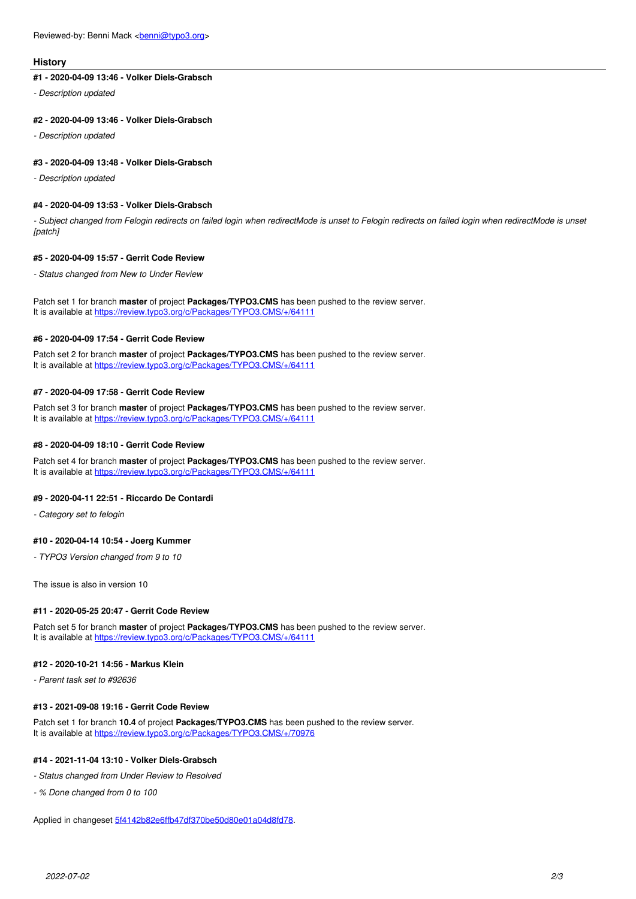#### **History**

## **#1 - 2020-04-09 13:46 - Volker Diels-Grabsch**

*- Description updated*

#### **#2 - 2020-04-09 13:46 - Volker Diels-Grabsch**

*- Description updated*

#### **#3 - 2020-04-09 13:48 - Volker Diels-Grabsch**

*- Description updated*

### **#4 - 2020-04-09 13:53 - Volker Diels-Grabsch**

*- Subject changed from Felogin redirects on failed login when redirectMode is unset to Felogin redirects on failed login when redirectMode is unset [patch]*

### **#5 - 2020-04-09 15:57 - Gerrit Code Review**

*- Status changed from New to Under Review*

Patch set 1 for branch **master** of project **Packages/TYPO3.CMS** has been pushed to the review server. It is available at <https://review.typo3.org/c/Packages/TYPO3.CMS/+/64111>

#### **#6 - 2020-04-09 17:54 - Gerrit Code Review**

Patch set 2 for branch **master** of project **Packages/TYPO3.CMS** has been pushed to the review server. It is available at <https://review.typo3.org/c/Packages/TYPO3.CMS/+/64111>

#### **#7 - 2020-04-09 17:58 - Gerrit Code Review**

Patch set 3 for branch **master** of project **Packages/TYPO3.CMS** has been pushed to the review server. It is available at <https://review.typo3.org/c/Packages/TYPO3.CMS/+/64111>

#### **#8 - 2020-04-09 18:10 - Gerrit Code Review**

Patch set 4 for branch **master** of project **Packages/TYPO3.CMS** has been pushed to the review server. It is available at <https://review.typo3.org/c/Packages/TYPO3.CMS/+/64111>

### **#9 - 2020-04-11 22:51 - Riccardo De Contardi**

*- Category set to felogin*

#### **#10 - 2020-04-14 10:54 - Joerg Kummer**

*- TYPO3 Version changed from 9 to 10*

The issue is also in version 10

#### **#11 - 2020-05-25 20:47 - Gerrit Code Review**

Patch set 5 for branch **master** of project **Packages/TYPO3.CMS** has been pushed to the review server. It is available at <https://review.typo3.org/c/Packages/TYPO3.CMS/+/64111>

#### **#12 - 2020-10-21 14:56 - Markus Klein**

*- Parent task set to #92636*

### **#13 - 2021-09-08 19:16 - Gerrit Code Review**

Patch set 1 for branch **10.4** of project **Packages/TYPO3.CMS** has been pushed to the review server. It is available at <https://review.typo3.org/c/Packages/TYPO3.CMS/+/70976>

#### **#14 - 2021-11-04 13:10 - Volker Diels-Grabsch**

*- Status changed from Under Review to Resolved*

*- % Done changed from 0 to 100*

Applied in changeset [5f4142b82e6ffb47df370be50d80e01a04d8fd78](https://forge.typo3.org/projects/typo3cms-core/repository/1749/revisions/5f4142b82e6ffb47df370be50d80e01a04d8fd78).